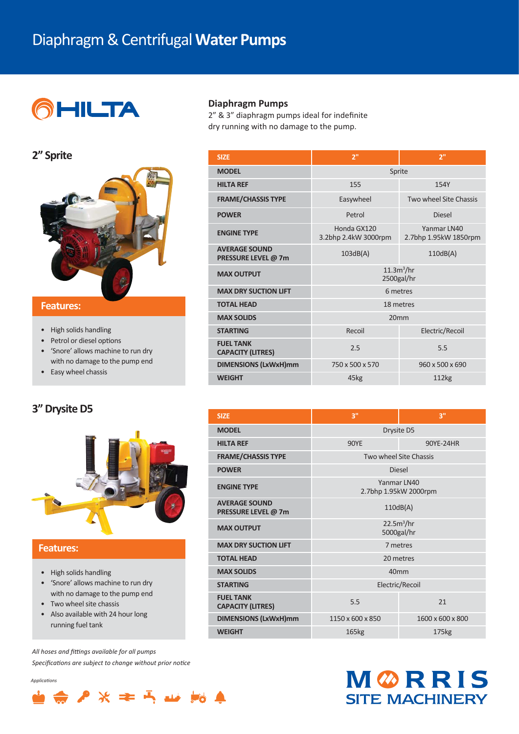## Diaphragm & Centrifugal **Water Pumps**



#### **2" Sprite**



#### **Features: Features:**

- High solids handling
- Petrol or diesel options
- 'Snore' allows machine to run dry with no damage to the pump end
- Easy wheel chassis

## **3" Drysite D5**



## **Features:**

- High solids handling
- 'Snore' allows machine to run dry with no damage to the pump end
- Two wheel site chassis
- Also available with 24 hour long running fuel tank

All hoses and fittings available for all pumps Specifications are subject to change without prior notice

*Applications* 

| <b>MODEL</b>                                 | Sprite                               |                                      |  |  |  |
|----------------------------------------------|--------------------------------------|--------------------------------------|--|--|--|
| <b>HILTA REF</b>                             | 155                                  | 154Y                                 |  |  |  |
| <b>FRAME/CHASSIS TYPE</b>                    | Easywheel                            | Two wheel Site Chassis               |  |  |  |
| <b>POWER</b>                                 | Petrol                               | Diesel                               |  |  |  |
| <b>ENGINE TYPE</b>                           | Honda GX120<br>3.2bhp 2.4kW 3000rpm  | Yanmar IN40<br>2.7bhp 1.95kW 1850rpm |  |  |  |
| <b>AVERAGE SOUND</b><br>PRESSURE LEVEL @ 7m  | 103dB(A)                             | 110dB(A)                             |  |  |  |
| <b>MAX OUTPUT</b>                            | 11.3m <sup>3</sup> /hr<br>2500gal/hr |                                      |  |  |  |
| <b>MAX DRY SUCTION LIFT</b>                  | 6 metres                             |                                      |  |  |  |
| <b>TOTAL HEAD</b>                            | 18 metres                            |                                      |  |  |  |
| <b>MAX SOLIDS</b>                            | 20mm                                 |                                      |  |  |  |
| <b>STARTING</b>                              | Recoil                               | Electric/Recoil                      |  |  |  |
| <b>FUEL TANK</b><br><b>CAPACITY (LITRES)</b> | 2.5                                  | 5.5                                  |  |  |  |
| <b>DIMENSIONS (LxWxH)mm</b>                  | 750 x 500 x 570                      | 960 x 500 x 690                      |  |  |  |
| <b>WEIGHT</b>                                | 45kg                                 | 112kg                                |  |  |  |
|                                              |                                      |                                      |  |  |  |

**SIZE 2" 2"**

**Diaphragm Pumps** 2" & 3" diaphragm pumps ideal for indefinite dry running with no damage to the pump.

| <b>SIZE</b>                                  | R"                                   | 3"                |  |  |
|----------------------------------------------|--------------------------------------|-------------------|--|--|
| <b>MODEL</b>                                 | Drysite D5                           |                   |  |  |
| <b>HILTA REF</b>                             | <b>90YE</b>                          | 90YE-24HR         |  |  |
| <b>FRAME/CHASSIS TYPE</b>                    | Two wheel Site Chassis               |                   |  |  |
| <b>POWER</b>                                 | <b>Diesel</b>                        |                   |  |  |
| <b>ENGINE TYPE</b>                           | Yanmar IN40<br>2.7bhp 1.95kW 2000rpm |                   |  |  |
| <b>AVERAGE SOUND</b><br>PRESSURE LEVEL @ 7m  | 110dB(A)                             |                   |  |  |
| <b>MAX OUTPUT</b>                            | 22.5m <sup>3</sup> /hr<br>5000gal/hr |                   |  |  |
| <b>MAX DRY SUCTION LIFT</b>                  | 7 metres                             |                   |  |  |
| <b>TOTAL HEAD</b>                            | 20 metres                            |                   |  |  |
| <b>MAX SOLIDS</b>                            | 40 <sub>mm</sub>                     |                   |  |  |
| <b>STARTING</b>                              | Electric/Recoil                      |                   |  |  |
| <b>FUEL TANK</b><br><b>CAPACITY (LITRES)</b> | 5.5                                  | 21                |  |  |
| <b>DIMENSIONS (LxWxH)mm</b>                  | 1150 x 600 x 850                     | 1600 x 600 x 800  |  |  |
| <b>WEIGHT</b>                                | 165kg                                | 175 <sub>kg</sub> |  |  |
|                                              |                                      |                   |  |  |



## $\Rightarrow$   $P$   $\times$   $\Leftarrow$   $\Rightarrow$   $\Rightarrow$